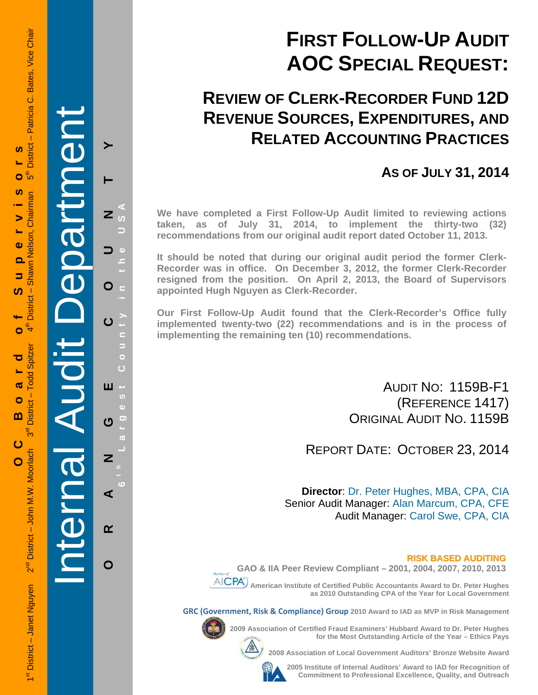## **FIRST FOLLOW-UP AUDIT AOC SPECIAL REQUEST:**

### **REVIEW OF CLERK-RECORDER FUND 12D REVENUE SOURCES, EXPENDITURES, AND RELATED ACCOUNTING PRACTICES**

### **AS OF JULY 31, 2014**

**We have completed a First Follow-Up Audit limited to reviewing actions taken, as of July 31, 2014, to implement the thirty-two (32) recommendations from our original audit report dated October 11, 2013.** 

**It should be noted that during our original audit period the former Clerk-Recorder was in office. On December 3, 2012, the former Clerk-Recorder resigned from the position. On April 2, 2013, the Board of Supervisors appointed Hugh Nguyen as Clerk-Recorder.** 

**Our First Follow-Up Audit found that the Clerk-Recorder's Office fully implemented twenty-two (22) recommendations and is in the process of implementing the remaining ten (10) recommendations.** 

> AUDIT NO: 1159B-F1 (REFERENCE 1417) ORIGINAL AUDIT NO. 1159B

REPORT DATE: OCTOBER 23, 2014

**Director**: Dr. Peter Hughes, MBA, CPA, CIA Senior Audit Manager: Alan Marcum, CPA, CFE Audit Manager: Carol Swe, CPA, CIA

#### **RISK BASED AUDITING GAO & IIA Peer Review Compliant – 2001, 2004, 2007, 2010, 2013**



**AICPA** American Institute of Certified Public Accountants Award to Dr. Peter Hughes

**as 2010 Outstanding CPA of the Year for Local Government** 

**GRC (Government, Risk & Compliance) Group 2010 Award to IAD as MVP in Risk Management** 



**2009 Association of Certified Fraud Examiners' Hubbard Award to Dr. Peter Hughes** 

**2008 Association of Local Government Auditors' Bronze Website Award** 

**2005 Institute of Internal Auditors' Award to IAD for Recognition of Commitment to Professional Excellence, Quality, and Outreach**

**for the Most Outstanding Article of the Year – Ethics Pays** 

1st District – Janet Nguyen 2<sup>nd</sup> District – John M.W. Moorlach 3<sup>rd</sup> District – Todd Spitzer 4th District – Shawn Nelson, Chairman 5th District – Patricia C. Bates, Vice Chair - Patricia C. Bates, Vice Chair **District** <u>ທ</u> **OC Board of Supervisors** مَ ُ Ō <u>ທ</u> District - Shawn Nelson, Chairman  $\blacktriangleright$  $\ddot{\mathbf{0}}$  $\overline{\mathbf{o}}$ 5 <u>ທ</u> ₹ Ó - Todd Spitzer ರ ൹  $\bullet$ **District**  $\mathbf{m}$ შ<br>თ ပ 2<sup>nd</sup> District - John M.W. Moorlach  $\overline{O}$ 1<sup>st</sup> District - Janet Nguyen

Internal Audit Department

artme

**ORANGE COUNTY 6 t h Lar**

ш

ෆ

 $\overline{z}$ 

⋖

 $\alpha$ 

O

**g**

**est Count**

**y in the USA** 

 $\overline{z}$ 

 $\mathbf O$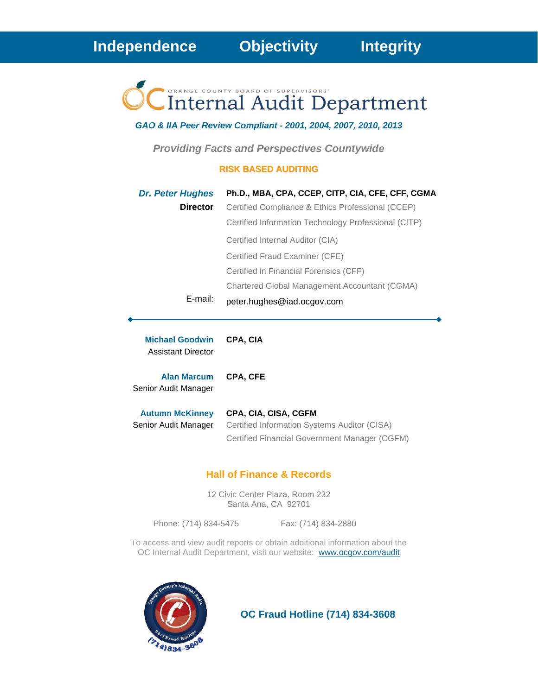# **Internal Audit Department**

### *GAO & IIA Peer Review Compliant - 2001, 2004, 2007, 2010, 2013*

*Providing Facts and Perspectives Countywide* 

### **RISK BASED AUDITING**

| <b>Dr. Peter Hughes</b> | Ph.D., MBA, CPA, CCEP, CITP, CIA, CFE, CFF, CGMA     |
|-------------------------|------------------------------------------------------|
| <b>Director</b>         | Certified Compliance & Ethics Professional (CCEP)    |
|                         | Certified Information Technology Professional (CITP) |
|                         | Certified Internal Auditor (CIA)                     |
|                         | Certified Fraud Examiner (CFE)                       |
|                         | Certified in Financial Forensics (CFF)               |
|                         | Chartered Global Management Accountant (CGMA)        |
| E-mail:                 | peter.hughes@iad.ocgov.com                           |

**Michael Goodwin CPA, CIA** Assistant Director

**Alan Marcum CPA, CFE**

Senior Audit Manager

| <b>Autumn McKinney</b> | CPA, CIA, CISA, CGFM                          |
|------------------------|-----------------------------------------------|
| Senior Audit Manager   | Certified Information Systems Auditor (CISA)  |
|                        | Certified Financial Government Manager (CGFM) |

### **Hall of Finance & Records**

12 Civic Center Plaza, Room 232 Santa Ana, CA 92701

Phone: (714) 834-5475 Fax: (714) 834-2880

To access and view audit reports or obtain additional information about the OC Internal Audit Department, visit our website: www.ocgov.com/audit



 **OC Fraud Hotline (714) 834-3608**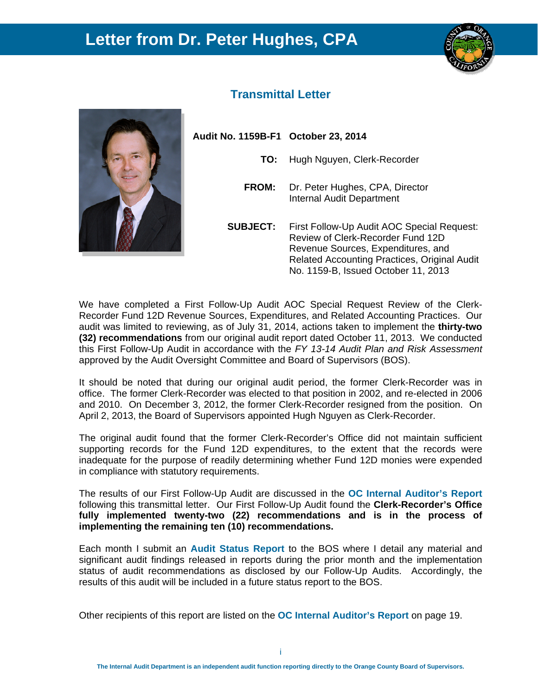### **Letter from Dr. Peter Hughes, CPA**





### **Transmittal Letter**

**Audit No. 1159B-F1 October 23, 2014** 

- **TO:** Hugh Nguyen, Clerk-Recorder
- **FROM:** Dr. Peter Hughes, CPA, Director Internal Audit Department
- **SUBJECT:** First Follow-Up Audit AOC Special Request: Review of Clerk-Recorder Fund 12D Revenue Sources, Expenditures, and Related Accounting Practices, Original Audit No. 1159-B, Issued October 11, 2013

We have completed a First Follow-Up Audit AOC Special Request Review of the Clerk-Recorder Fund 12D Revenue Sources, Expenditures, and Related Accounting Practices. Our audit was limited to reviewing, as of July 31, 2014, actions taken to implement the **thirty-two (32) recommendations** from our original audit report dated October 11, 2013. We conducted this First Follow-Up Audit in accordance with the *FY 13-14 Audit Plan and Risk Assessment* approved by the Audit Oversight Committee and Board of Supervisors (BOS).

It should be noted that during our original audit period, the former Clerk-Recorder was in office. The former Clerk-Recorder was elected to that position in 2002, and re-elected in 2006 and 2010. On December 3, 2012, the former Clerk-Recorder resigned from the position. On April 2, 2013, the Board of Supervisors appointed Hugh Nguyen as Clerk-Recorder.

The original audit found that the former Clerk-Recorder's Office did not maintain sufficient supporting records for the Fund 12D expenditures, to the extent that the records were inadequate for the purpose of readily determining whether Fund 12D monies were expended in compliance with statutory requirements.

The results of our First Follow-Up Audit are discussed in the **OC Internal Auditor's Report**  following this transmittal letter. Our First Follow-Up Audit found the **Clerk-Recorder's Office fully implemented twenty-two (22) recommendations and is in the process of implementing the remaining ten (10) recommendations.** 

Each month I submit an **Audit Status Report** to the BOS where I detail any material and significant audit findings released in reports during the prior month and the implementation status of audit recommendations as disclosed by our Follow-Up Audits. Accordingly, the results of this audit will be included in a future status report to the BOS.

Other recipients of this report are listed on the **OC Internal Auditor's Report** on page 19.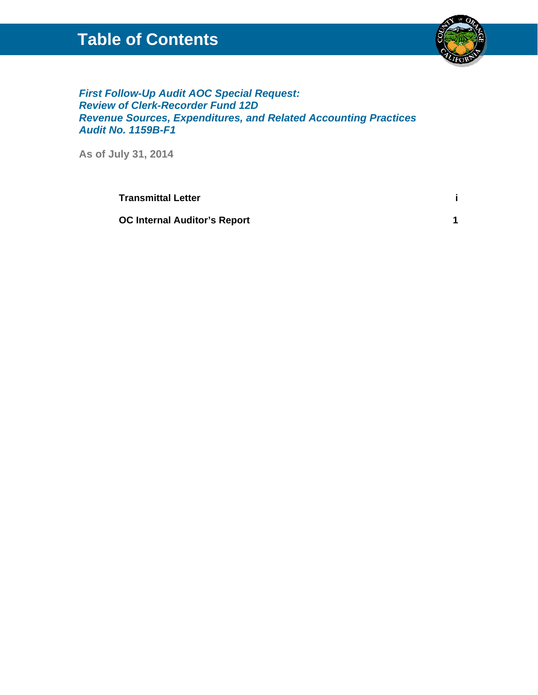### **Table of Contents**



*First Follow-Up Audit AOC Special Request: Review of Clerk-Recorder Fund 12D Revenue Sources, Expenditures, and Related Accounting Practices Audit No. 1159B-F1* 

**As of July 31, 2014**

**Transmittal Letter i**

**OC Internal Auditor's Report 1**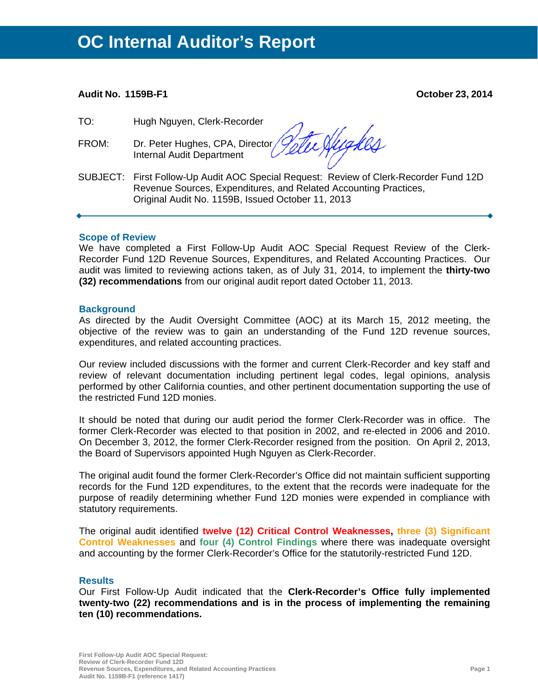#### **Audit No. 1159B-F1 October 23, 2014**

TO: Hugh Nguyen, Clerk-Recorder

FROM: Dr. Peter Hughes, CPA, Director, Internal Audit Department

tee Hygkes

SUBJECT: First Follow-Up Audit AOC Special Request: Review of Clerk-Recorder Fund 12D Revenue Sources, Expenditures, and Related Accounting Practices, Original Audit No. 1159B, Issued October 11, 2013

#### **Scope of Review**

We have completed a First Follow-Up Audit AOC Special Request Review of the Clerk-Recorder Fund 12D Revenue Sources, Expenditures, and Related Accounting Practices. Our audit was limited to reviewing actions taken, as of July 31, 2014, to implement the **thirty-two (32) recommendations** from our original audit report dated October 11, 2013.

#### **Background**

As directed by the Audit Oversight Committee (AOC) at its March 15, 2012 meeting, the objective of the review was to gain an understanding of the Fund 12D revenue sources, expenditures, and related accounting practices.

Our review included discussions with the former and current Clerk-Recorder and key staff and review of relevant documentation including pertinent legal codes, legal opinions, analysis performed by other California counties, and other pertinent documentation supporting the use of the restricted Fund 12D monies.

It should be noted that during our audit period the former Clerk-Recorder was in office. The former Clerk-Recorder was elected to that position in 2002, and re-elected in 2006 and 2010. On December 3, 2012, the former Clerk-Recorder resigned from the position. On April 2, 2013, the Board of Supervisors appointed Hugh Nguyen as Clerk-Recorder.

The original audit found the former Clerk-Recorder's Office did not maintain sufficient supporting records for the Fund 12D expenditures, to the extent that the records were inadequate for the purpose of readily determining whether Fund 12D monies were expended in compliance with statutory requirements.

The original audit identified **twelve (12) Critical Control Weaknesses, three (3) Significant Control Weaknesses** and **four (4) Control Findings** where there was inadequate oversight and accounting by the former Clerk-Recorder's Office for the statutorily-restricted Fund 12D.

#### **Results**

Our First Follow-Up Audit indicated that the **Clerk-Recorder's Office fully implemented twenty-two (22) recommendations and is in the process of implementing the remaining ten (10) recommendations.**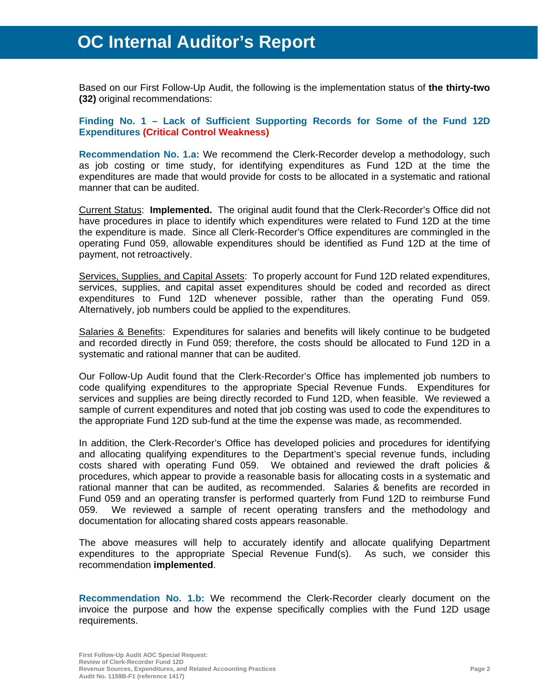Based on our First Follow-Up Audit, the following is the implementation status of **the thirty-two (32)** original recommendations:

**Finding No. 1 – Lack of Sufficient Supporting Records for Some of the Fund 12D Expenditures (Critical Control Weakness)**

**Recommendation No. 1.a:** We recommend the Clerk-Recorder develop a methodology, such as job costing or time study, for identifying expenditures as Fund 12D at the time the expenditures are made that would provide for costs to be allocated in a systematic and rational manner that can be audited.

Current Status: **Implemented.** The original audit found that the Clerk-Recorder's Office did not have procedures in place to identify which expenditures were related to Fund 12D at the time the expenditure is made. Since all Clerk-Recorder's Office expenditures are commingled in the operating Fund 059, allowable expenditures should be identified as Fund 12D at the time of payment, not retroactively.

Services, Supplies, and Capital Assets: To properly account for Fund 12D related expenditures, services, supplies, and capital asset expenditures should be coded and recorded as direct expenditures to Fund 12D whenever possible, rather than the operating Fund 059. Alternatively, job numbers could be applied to the expenditures.

Salaries & Benefits: Expenditures for salaries and benefits will likely continue to be budgeted and recorded directly in Fund 059; therefore, the costs should be allocated to Fund 12D in a systematic and rational manner that can be audited.

Our Follow-Up Audit found that the Clerk-Recorder's Office has implemented job numbers to code qualifying expenditures to the appropriate Special Revenue Funds. Expenditures for services and supplies are being directly recorded to Fund 12D, when feasible. We reviewed a sample of current expenditures and noted that job costing was used to code the expenditures to the appropriate Fund 12D sub-fund at the time the expense was made, as recommended.

In addition, the Clerk-Recorder's Office has developed policies and procedures for identifying and allocating qualifying expenditures to the Department's special revenue funds, including costs shared with operating Fund 059. We obtained and reviewed the draft policies & procedures, which appear to provide a reasonable basis for allocating costs in a systematic and rational manner that can be audited, as recommended. Salaries & benefits are recorded in Fund 059 and an operating transfer is performed quarterly from Fund 12D to reimburse Fund 059. We reviewed a sample of recent operating transfers and the methodology and documentation for allocating shared costs appears reasonable.

The above measures will help to accurately identify and allocate qualifying Department expenditures to the appropriate Special Revenue Fund(s). As such, we consider this recommendation **implemented**.

**Recommendation No. 1.b:** We recommend the Clerk-Recorder clearly document on the invoice the purpose and how the expense specifically complies with the Fund 12D usage requirements.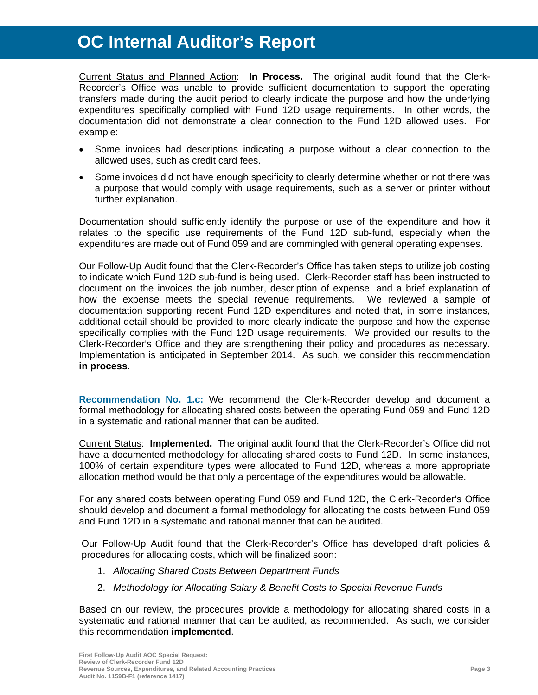Current Status and Planned Action: **In Process.** The original audit found that the Clerk-Recorder's Office was unable to provide sufficient documentation to support the operating transfers made during the audit period to clearly indicate the purpose and how the underlying expenditures specifically complied with Fund 12D usage requirements. In other words, the documentation did not demonstrate a clear connection to the Fund 12D allowed uses. For example:

- Some invoices had descriptions indicating a purpose without a clear connection to the allowed uses, such as credit card fees.
- Some invoices did not have enough specificity to clearly determine whether or not there was a purpose that would comply with usage requirements, such as a server or printer without further explanation.

Documentation should sufficiently identify the purpose or use of the expenditure and how it relates to the specific use requirements of the Fund 12D sub-fund, especially when the expenditures are made out of Fund 059 and are commingled with general operating expenses.

Our Follow-Up Audit found that the Clerk-Recorder's Office has taken steps to utilize job costing to indicate which Fund 12D sub-fund is being used. Clerk-Recorder staff has been instructed to document on the invoices the job number, description of expense, and a brief explanation of how the expense meets the special revenue requirements. We reviewed a sample of documentation supporting recent Fund 12D expenditures and noted that, in some instances, additional detail should be provided to more clearly indicate the purpose and how the expense specifically complies with the Fund 12D usage requirements. We provided our results to the Clerk-Recorder's Office and they are strengthening their policy and procedures as necessary. Implementation is anticipated in September 2014. As such, we consider this recommendation **in process**.

**Recommendation No. 1.c:** We recommend the Clerk-Recorder develop and document a formal methodology for allocating shared costs between the operating Fund 059 and Fund 12D in a systematic and rational manner that can be audited.

Current Status: **Implemented.** The original audit found that the Clerk-Recorder's Office did not have a documented methodology for allocating shared costs to Fund 12D. In some instances, 100% of certain expenditure types were allocated to Fund 12D, whereas a more appropriate allocation method would be that only a percentage of the expenditures would be allowable.

For any shared costs between operating Fund 059 and Fund 12D, the Clerk-Recorder's Office should develop and document a formal methodology for allocating the costs between Fund 059 and Fund 12D in a systematic and rational manner that can be audited.

Our Follow-Up Audit found that the Clerk-Recorder's Office has developed draft policies & procedures for allocating costs, which will be finalized soon:

- 1. *Allocating Shared Costs Between Department Funds*
- 2. *Methodology for Allocating Salary & Benefit Costs to Special Revenue Funds*

Based on our review, the procedures provide a methodology for allocating shared costs in a systematic and rational manner that can be audited, as recommended. As such, we consider this recommendation **implemented**.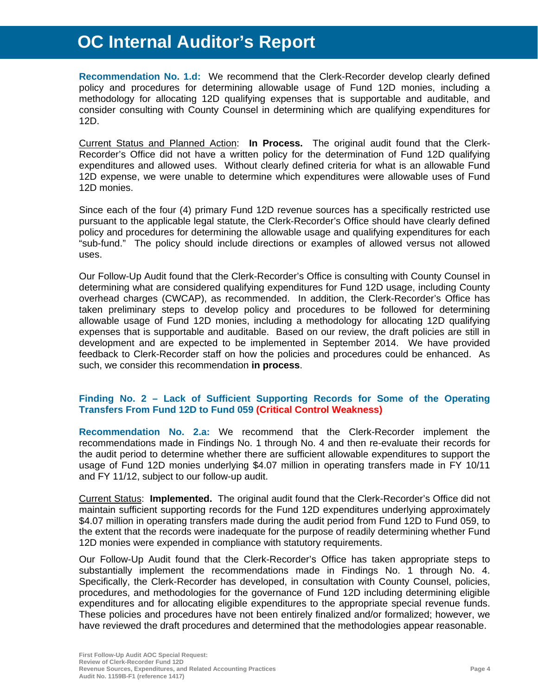**Recommendation No. 1.d:** We recommend that the Clerk-Recorder develop clearly defined policy and procedures for determining allowable usage of Fund 12D monies, including a methodology for allocating 12D qualifying expenses that is supportable and auditable, and consider consulting with County Counsel in determining which are qualifying expenditures for 12D.

Current Status and Planned Action: **In Process.** The original audit found that the Clerk-Recorder's Office did not have a written policy for the determination of Fund 12D qualifying expenditures and allowed uses. Without clearly defined criteria for what is an allowable Fund 12D expense, we were unable to determine which expenditures were allowable uses of Fund 12D monies.

Since each of the four (4) primary Fund 12D revenue sources has a specifically restricted use pursuant to the applicable legal statute, the Clerk-Recorder's Office should have clearly defined policy and procedures for determining the allowable usage and qualifying expenditures for each "sub-fund." The policy should include directions or examples of allowed versus not allowed uses.

Our Follow-Up Audit found that the Clerk-Recorder's Office is consulting with County Counsel in determining what are considered qualifying expenditures for Fund 12D usage, including County overhead charges (CWCAP), as recommended. In addition, the Clerk-Recorder's Office has taken preliminary steps to develop policy and procedures to be followed for determining allowable usage of Fund 12D monies, including a methodology for allocating 12D qualifying expenses that is supportable and auditable. Based on our review, the draft policies are still in development and are expected to be implemented in September 2014. We have provided feedback to Clerk-Recorder staff on how the policies and procedures could be enhanced. As such, we consider this recommendation **in process**.

### **Finding No. 2 – Lack of Sufficient Supporting Records for Some of the Operating Transfers From Fund 12D to Fund 059 (Critical Control Weakness)**

**Recommendation No. 2.a:** We recommend that the Clerk-Recorder implement the recommendations made in Findings No. 1 through No. 4 and then re-evaluate their records for the audit period to determine whether there are sufficient allowable expenditures to support the usage of Fund 12D monies underlying \$4.07 million in operating transfers made in FY 10/11 and FY 11/12, subject to our follow-up audit.

Current Status: **Implemented.** The original audit found that the Clerk-Recorder's Office did not maintain sufficient supporting records for the Fund 12D expenditures underlying approximately \$4.07 million in operating transfers made during the audit period from Fund 12D to Fund 059, to the extent that the records were inadequate for the purpose of readily determining whether Fund 12D monies were expended in compliance with statutory requirements.

Our Follow-Up Audit found that the Clerk-Recorder's Office has taken appropriate steps to substantially implement the recommendations made in Findings No. 1 through No. 4. Specifically, the Clerk-Recorder has developed, in consultation with County Counsel, policies, procedures, and methodologies for the governance of Fund 12D including determining eligible expenditures and for allocating eligible expenditures to the appropriate special revenue funds. These policies and procedures have not been entirely finalized and/or formalized; however, we have reviewed the draft procedures and determined that the methodologies appear reasonable.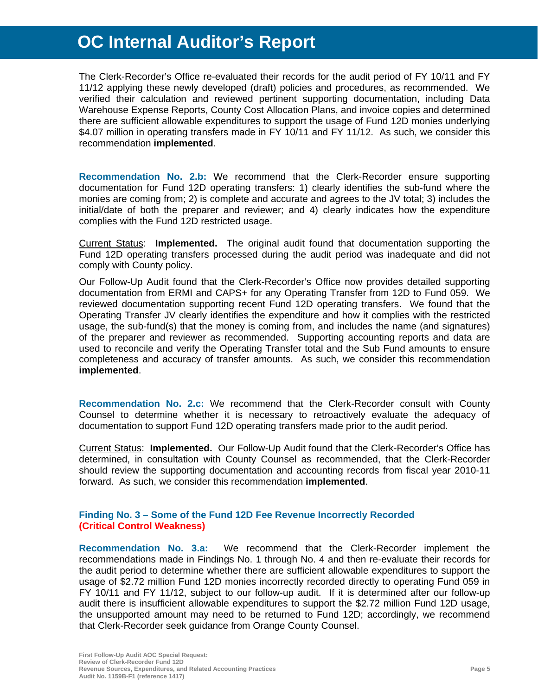The Clerk-Recorder's Office re-evaluated their records for the audit period of FY 10/11 and FY 11/12 applying these newly developed (draft) policies and procedures, as recommended. We verified their calculation and reviewed pertinent supporting documentation, including Data Warehouse Expense Reports, County Cost Allocation Plans, and invoice copies and determined there are sufficient allowable expenditures to support the usage of Fund 12D monies underlying \$4.07 million in operating transfers made in FY 10/11 and FY 11/12. As such, we consider this recommendation **implemented**.

**Recommendation No. 2.b:** We recommend that the Clerk-Recorder ensure supporting documentation for Fund 12D operating transfers: 1) clearly identifies the sub-fund where the monies are coming from; 2) is complete and accurate and agrees to the JV total; 3) includes the initial/date of both the preparer and reviewer; and 4) clearly indicates how the expenditure complies with the Fund 12D restricted usage.

Current Status: **Implemented.** The original audit found that documentation supporting the Fund 12D operating transfers processed during the audit period was inadequate and did not comply with County policy.

Our Follow-Up Audit found that the Clerk-Recorder's Office now provides detailed supporting documentation from ERMI and CAPS+ for any Operating Transfer from 12D to Fund 059. We reviewed documentation supporting recent Fund 12D operating transfers. We found that the Operating Transfer JV clearly identifies the expenditure and how it complies with the restricted usage, the sub-fund(s) that the money is coming from, and includes the name (and signatures) of the preparer and reviewer as recommended. Supporting accounting reports and data are used to reconcile and verify the Operating Transfer total and the Sub Fund amounts to ensure completeness and accuracy of transfer amounts. As such, we consider this recommendation **implemented**.

**Recommendation No. 2.c:** We recommend that the Clerk-Recorder consult with County Counsel to determine whether it is necessary to retroactively evaluate the adequacy of documentation to support Fund 12D operating transfers made prior to the audit period.

Current Status: **Implemented.** Our Follow-Up Audit found that the Clerk-Recorder's Office has determined, in consultation with County Counsel as recommended, that the Clerk-Recorder should review the supporting documentation and accounting records from fiscal year 2010-11 forward. As such, we consider this recommendation **implemented**.

### **Finding No. 3 – Some of the Fund 12D Fee Revenue Incorrectly Recorded (Critical Control Weakness)**

**Recommendation No. 3.a:** We recommend that the Clerk-Recorder implement the recommendations made in Findings No. 1 through No. 4 and then re-evaluate their records for the audit period to determine whether there are sufficient allowable expenditures to support the usage of \$2.72 million Fund 12D monies incorrectly recorded directly to operating Fund 059 in FY 10/11 and FY 11/12, subject to our follow-up audit. If it is determined after our follow-up audit there is insufficient allowable expenditures to support the \$2.72 million Fund 12D usage, the unsupported amount may need to be returned to Fund 12D; accordingly, we recommend that Clerk-Recorder seek guidance from Orange County Counsel.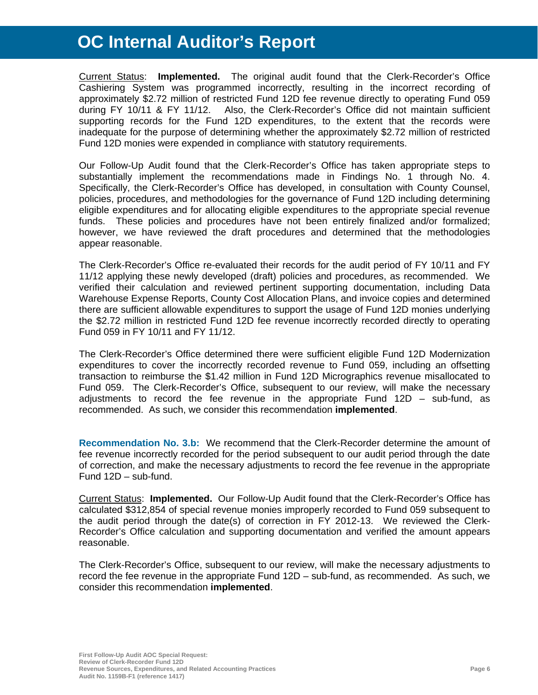Current Status: **Implemented.** The original audit found that the Clerk-Recorder's Office Cashiering System was programmed incorrectly, resulting in the incorrect recording of approximately \$2.72 million of restricted Fund 12D fee revenue directly to operating Fund 059 during FY 10/11 & FY 11/12. Also, the Clerk-Recorder's Office did not maintain sufficient supporting records for the Fund 12D expenditures, to the extent that the records were inadequate for the purpose of determining whether the approximately \$2.72 million of restricted Fund 12D monies were expended in compliance with statutory requirements.

Our Follow-Up Audit found that the Clerk-Recorder's Office has taken appropriate steps to substantially implement the recommendations made in Findings No. 1 through No. 4. Specifically, the Clerk-Recorder's Office has developed, in consultation with County Counsel, policies, procedures, and methodologies for the governance of Fund 12D including determining eligible expenditures and for allocating eligible expenditures to the appropriate special revenue funds. These policies and procedures have not been entirely finalized and/or formalized; however, we have reviewed the draft procedures and determined that the methodologies appear reasonable.

The Clerk-Recorder's Office re-evaluated their records for the audit period of FY 10/11 and FY 11/12 applying these newly developed (draft) policies and procedures, as recommended. We verified their calculation and reviewed pertinent supporting documentation, including Data Warehouse Expense Reports, County Cost Allocation Plans, and invoice copies and determined there are sufficient allowable expenditures to support the usage of Fund 12D monies underlying the \$2.72 million in restricted Fund 12D fee revenue incorrectly recorded directly to operating Fund 059 in FY 10/11 and FY 11/12.

The Clerk-Recorder's Office determined there were sufficient eligible Fund 12D Modernization expenditures to cover the incorrectly recorded revenue to Fund 059, including an offsetting transaction to reimburse the \$1.42 million in Fund 12D Micrographics revenue misallocated to Fund 059. The Clerk-Recorder's Office, subsequent to our review, will make the necessary adjustments to record the fee revenue in the appropriate Fund 12D – sub-fund, as recommended. As such, we consider this recommendation **implemented**.

**Recommendation No. 3.b:** We recommend that the Clerk-Recorder determine the amount of fee revenue incorrectly recorded for the period subsequent to our audit period through the date of correction, and make the necessary adjustments to record the fee revenue in the appropriate Fund 12D – sub-fund.

Current Status: **Implemented.** Our Follow-Up Audit found that the Clerk-Recorder's Office has calculated \$312,854 of special revenue monies improperly recorded to Fund 059 subsequent to the audit period through the date(s) of correction in FY 2012-13. We reviewed the Clerk-Recorder's Office calculation and supporting documentation and verified the amount appears reasonable.

The Clerk-Recorder's Office, subsequent to our review, will make the necessary adjustments to record the fee revenue in the appropriate Fund 12D – sub-fund, as recommended. As such, we consider this recommendation **implemented**.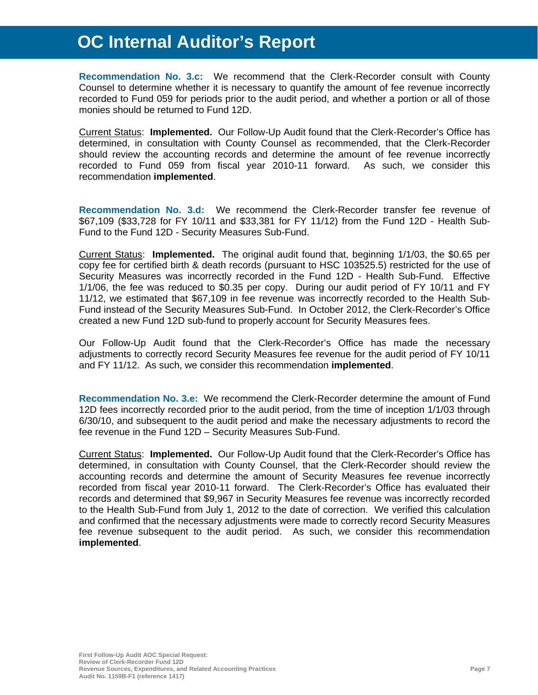**Recommendation No. 3.c:** We recommend that the Clerk-Recorder consult with County Counsel to determine whether it is necessary to quantify the amount of fee revenue incorrectly recorded to Fund 059 for periods prior to the audit period, and whether a portion or all of those monies should be returned to Fund 12D.

Current Status: **Implemented.** Our Follow-Up Audit found that the Clerk-Recorder's Office has determined, in consultation with County Counsel as recommended, that the Clerk-Recorder should review the accounting records and determine the amount of fee revenue incorrectly recorded to Fund 059 from fiscal year 2010-11 forward. As such, we consider this recommendation **implemented**.

**Recommendation No. 3.d:** We recommend the Clerk-Recorder transfer fee revenue of \$67,109 (\$33,728 for FY 10/11 and \$33,381 for FY 11/12) from the Fund 12D - Health Sub-Fund to the Fund 12D - Security Measures Sub-Fund.

Current Status: **Implemented.** The original audit found that, beginning 1/1/03, the \$0.65 per copy fee for certified birth & death records (pursuant to HSC 103525.5) restricted for the use of Security Measures was incorrectly recorded in the Fund 12D - Health Sub-Fund. Effective 1/1/06, the fee was reduced to \$0.35 per copy. During our audit period of FY 10/11 and FY 11/12, we estimated that \$67,109 in fee revenue was incorrectly recorded to the Health Sub-Fund instead of the Security Measures Sub-Fund. In October 2012, the Clerk-Recorder's Office created a new Fund 12D sub-fund to properly account for Security Measures fees.

Our Follow-Up Audit found that the Clerk-Recorder's Office has made the necessary adjustments to correctly record Security Measures fee revenue for the audit period of FY 10/11 and FY 11/12. As such, we consider this recommendation **implemented**.

**Recommendation No. 3.e:** We recommend the Clerk-Recorder determine the amount of Fund 12D fees incorrectly recorded prior to the audit period, from the time of inception 1/1/03 through 6/30/10, and subsequent to the audit period and make the necessary adjustments to record the fee revenue in the Fund 12D – Security Measures Sub-Fund.

Current Status: **Implemented.** Our Follow-Up Audit found that the Clerk-Recorder's Office has determined, in consultation with County Counsel, that the Clerk-Recorder should review the accounting records and determine the amount of Security Measures fee revenue incorrectly recorded from fiscal year 2010-11 forward. The Clerk-Recorder's Office has evaluated their records and determined that \$9,967 in Security Measures fee revenue was incorrectly recorded to the Health Sub-Fund from July 1, 2012 to the date of correction. We verified this calculation and confirmed that the necessary adjustments were made to correctly record Security Measures fee revenue subsequent to the audit period. As such, we consider this recommendation **implemented**.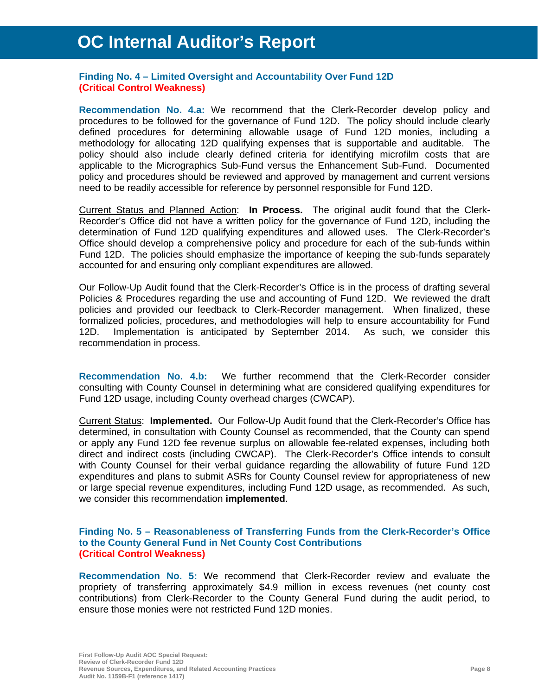#### **Finding No. 4 – Limited Oversight and Accountability Over Fund 12D (Critical Control Weakness)**

**Recommendation No. 4.a:** We recommend that the Clerk-Recorder develop policy and procedures to be followed for the governance of Fund 12D. The policy should include clearly defined procedures for determining allowable usage of Fund 12D monies, including a methodology for allocating 12D qualifying expenses that is supportable and auditable. The policy should also include clearly defined criteria for identifying microfilm costs that are applicable to the Micrographics Sub-Fund versus the Enhancement Sub-Fund. Documented policy and procedures should be reviewed and approved by management and current versions need to be readily accessible for reference by personnel responsible for Fund 12D.

Current Status and Planned Action: **In Process.** The original audit found that the Clerk-Recorder's Office did not have a written policy for the governance of Fund 12D, including the determination of Fund 12D qualifying expenditures and allowed uses. The Clerk-Recorder's Office should develop a comprehensive policy and procedure for each of the sub-funds within Fund 12D. The policies should emphasize the importance of keeping the sub-funds separately accounted for and ensuring only compliant expenditures are allowed.

Our Follow-Up Audit found that the Clerk-Recorder's Office is in the process of drafting several Policies & Procedures regarding the use and accounting of Fund 12D. We reviewed the draft policies and provided our feedback to Clerk-Recorder management. When finalized, these formalized policies, procedures, and methodologies will help to ensure accountability for Fund 12D. Implementation is anticipated by September 2014. As such, we consider this recommendation in process.

**Recommendation No. 4.b:** We further recommend that the Clerk-Recorder consider consulting with County Counsel in determining what are considered qualifying expenditures for Fund 12D usage, including County overhead charges (CWCAP).

Current Status: **Implemented.** Our Follow-Up Audit found that the Clerk-Recorder's Office has determined, in consultation with County Counsel as recommended, that the County can spend or apply any Fund 12D fee revenue surplus on allowable fee-related expenses, including both direct and indirect costs (including CWCAP). The Clerk-Recorder's Office intends to consult with County Counsel for their verbal guidance regarding the allowability of future Fund 12D expenditures and plans to submit ASRs for County Counsel review for appropriateness of new or large special revenue expenditures, including Fund 12D usage, as recommended. As such, we consider this recommendation **implemented**.

#### **Finding No. 5 – Reasonableness of Transferring Funds from the Clerk-Recorder's Office to the County General Fund in Net County Cost Contributions (Critical Control Weakness)**

**Recommendation No. 5:** We recommend that Clerk-Recorder review and evaluate the propriety of transferring approximately \$4.9 million in excess revenues (net county cost contributions) from Clerk-Recorder to the County General Fund during the audit period, to ensure those monies were not restricted Fund 12D monies.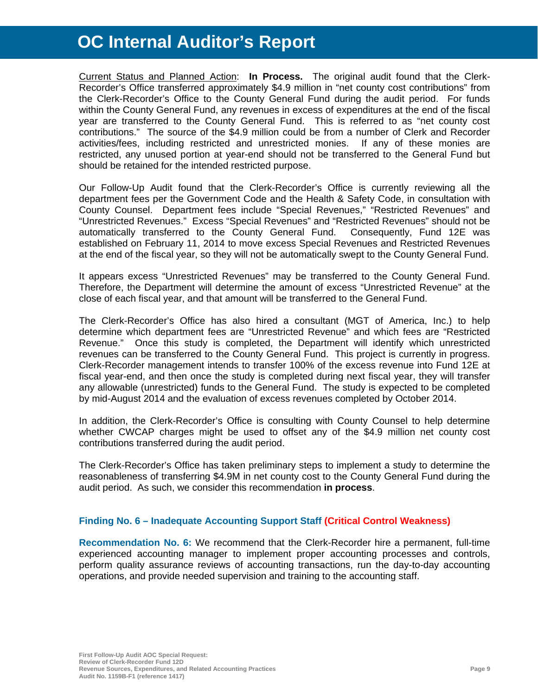Current Status and Planned Action: **In Process.** The original audit found that the Clerk-Recorder's Office transferred approximately \$4.9 million in "net county cost contributions" from the Clerk-Recorder's Office to the County General Fund during the audit period. For funds within the County General Fund, any revenues in excess of expenditures at the end of the fiscal year are transferred to the County General Fund. This is referred to as "net county cost contributions." The source of the \$4.9 million could be from a number of Clerk and Recorder activities/fees, including restricted and unrestricted monies. If any of these monies are restricted, any unused portion at year-end should not be transferred to the General Fund but should be retained for the intended restricted purpose.

Our Follow-Up Audit found that the Clerk-Recorder's Office is currently reviewing all the department fees per the Government Code and the Health & Safety Code, in consultation with County Counsel. Department fees include "Special Revenues," "Restricted Revenues" and "Unrestricted Revenues." Excess "Special Revenues" and "Restricted Revenues" should not be automatically transferred to the County General Fund. Consequently, Fund 12E was established on February 11, 2014 to move excess Special Revenues and Restricted Revenues at the end of the fiscal year, so they will not be automatically swept to the County General Fund.

It appears excess "Unrestricted Revenues" may be transferred to the County General Fund. Therefore, the Department will determine the amount of excess "Unrestricted Revenue" at the close of each fiscal year, and that amount will be transferred to the General Fund.

The Clerk-Recorder's Office has also hired a consultant (MGT of America, Inc.) to help determine which department fees are "Unrestricted Revenue" and which fees are "Restricted Revenue." Once this study is completed, the Department will identify which unrestricted revenues can be transferred to the County General Fund. This project is currently in progress. Clerk-Recorder management intends to transfer 100% of the excess revenue into Fund 12E at fiscal year-end, and then once the study is completed during next fiscal year, they will transfer any allowable (unrestricted) funds to the General Fund. The study is expected to be completed by mid-August 2014 and the evaluation of excess revenues completed by October 2014.

In addition, the Clerk-Recorder's Office is consulting with County Counsel to help determine whether CWCAP charges might be used to offset any of the \$4.9 million net county cost contributions transferred during the audit period.

The Clerk-Recorder's Office has taken preliminary steps to implement a study to determine the reasonableness of transferring \$4.9M in net county cost to the County General Fund during the audit period. As such, we consider this recommendation **in process**.

#### **Finding No. 6 – Inadequate Accounting Support Staff (Critical Control Weakness)**

**Recommendation No. 6:** We recommend that the Clerk-Recorder hire a permanent, full-time experienced accounting manager to implement proper accounting processes and controls, perform quality assurance reviews of accounting transactions, run the day-to-day accounting operations, and provide needed supervision and training to the accounting staff.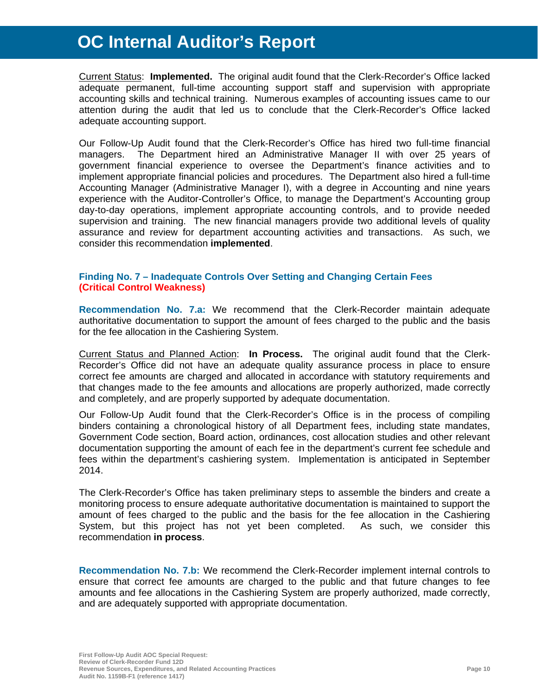Current Status: **Implemented.** The original audit found that the Clerk-Recorder's Office lacked adequate permanent, full-time accounting support staff and supervision with appropriate accounting skills and technical training. Numerous examples of accounting issues came to our attention during the audit that led us to conclude that the Clerk-Recorder's Office lacked adequate accounting support.

Our Follow-Up Audit found that the Clerk-Recorder's Office has hired two full-time financial managers. The Department hired an Administrative Manager II with over 25 years of government financial experience to oversee the Department's finance activities and to implement appropriate financial policies and procedures. The Department also hired a full-time Accounting Manager (Administrative Manager I), with a degree in Accounting and nine years experience with the Auditor-Controller's Office, to manage the Department's Accounting group day-to-day operations, implement appropriate accounting controls, and to provide needed supervision and training. The new financial managers provide two additional levels of quality assurance and review for department accounting activities and transactions. As such, we consider this recommendation **implemented**.

#### **Finding No. 7 – Inadequate Controls Over Setting and Changing Certain Fees (Critical Control Weakness)**

**Recommendation No. 7.a:** We recommend that the Clerk-Recorder maintain adequate authoritative documentation to support the amount of fees charged to the public and the basis for the fee allocation in the Cashiering System.

Current Status and Planned Action: **In Process.** The original audit found that the Clerk-Recorder's Office did not have an adequate quality assurance process in place to ensure correct fee amounts are charged and allocated in accordance with statutory requirements and that changes made to the fee amounts and allocations are properly authorized, made correctly and completely, and are properly supported by adequate documentation.

Our Follow-Up Audit found that the Clerk-Recorder's Office is in the process of compiling binders containing a chronological history of all Department fees, including state mandates, Government Code section, Board action, ordinances, cost allocation studies and other relevant documentation supporting the amount of each fee in the department's current fee schedule and fees within the department's cashiering system. Implementation is anticipated in September 2014.

The Clerk-Recorder's Office has taken preliminary steps to assemble the binders and create a monitoring process to ensure adequate authoritative documentation is maintained to support the amount of fees charged to the public and the basis for the fee allocation in the Cashiering System, but this project has not yet been completed. As such, we consider this recommendation **in process**.

**Recommendation No. 7.b:** We recommend the Clerk-Recorder implement internal controls to ensure that correct fee amounts are charged to the public and that future changes to fee amounts and fee allocations in the Cashiering System are properly authorized, made correctly, and are adequately supported with appropriate documentation.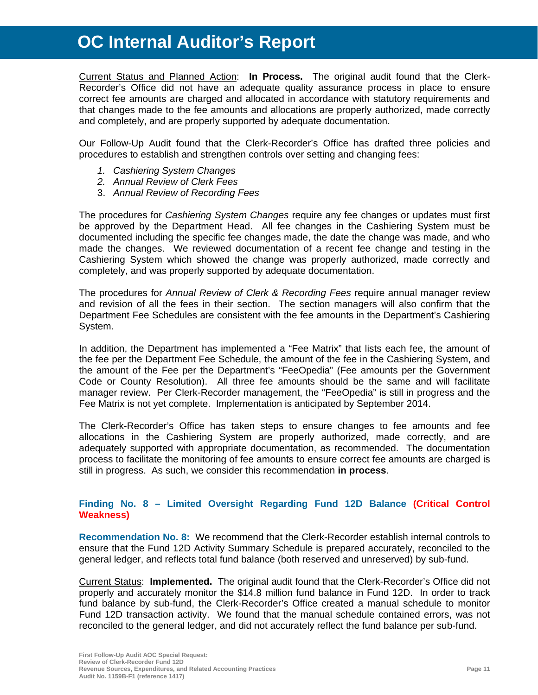Current Status and Planned Action: **In Process.** The original audit found that the Clerk-Recorder's Office did not have an adequate quality assurance process in place to ensure correct fee amounts are charged and allocated in accordance with statutory requirements and that changes made to the fee amounts and allocations are properly authorized, made correctly and completely, and are properly supported by adequate documentation.

Our Follow-Up Audit found that the Clerk-Recorder's Office has drafted three policies and procedures to establish and strengthen controls over setting and changing fees:

- *1. Cashiering System Changes*
- *2. Annual Review of Clerk Fees*
- 3. *Annual Review of Recording Fees*

The procedures for *Cashiering System Changes* require any fee changes or updates must first be approved by the Department Head. All fee changes in the Cashiering System must be documented including the specific fee changes made, the date the change was made, and who made the changes. We reviewed documentation of a recent fee change and testing in the Cashiering System which showed the change was properly authorized, made correctly and completely, and was properly supported by adequate documentation.

The procedures for *Annual Review of Clerk & Recording Fees* require annual manager review and revision of all the fees in their section. The section managers will also confirm that the Department Fee Schedules are consistent with the fee amounts in the Department's Cashiering System.

In addition, the Department has implemented a "Fee Matrix" that lists each fee, the amount of the fee per the Department Fee Schedule, the amount of the fee in the Cashiering System, and the amount of the Fee per the Department's "FeeOpedia" (Fee amounts per the Government Code or County Resolution). All three fee amounts should be the same and will facilitate manager review. Per Clerk-Recorder management, the "FeeOpedia" is still in progress and the Fee Matrix is not yet complete. Implementation is anticipated by September 2014.

The Clerk-Recorder's Office has taken steps to ensure changes to fee amounts and fee allocations in the Cashiering System are properly authorized, made correctly, and are adequately supported with appropriate documentation, as recommended. The documentation process to facilitate the monitoring of fee amounts to ensure correct fee amounts are charged is still in progress. As such, we consider this recommendation **in process**.

#### **Finding No. 8 – Limited Oversight Regarding Fund 12D Balance (Critical Control Weakness)**

**Recommendation No. 8:** We recommend that the Clerk-Recorder establish internal controls to ensure that the Fund 12D Activity Summary Schedule is prepared accurately, reconciled to the general ledger, and reflects total fund balance (both reserved and unreserved) by sub-fund.

Current Status: **Implemented.** The original audit found that the Clerk-Recorder's Office did not properly and accurately monitor the \$14.8 million fund balance in Fund 12D. In order to track fund balance by sub-fund, the Clerk-Recorder's Office created a manual schedule to monitor Fund 12D transaction activity. We found that the manual schedule contained errors, was not reconciled to the general ledger, and did not accurately reflect the fund balance per sub-fund.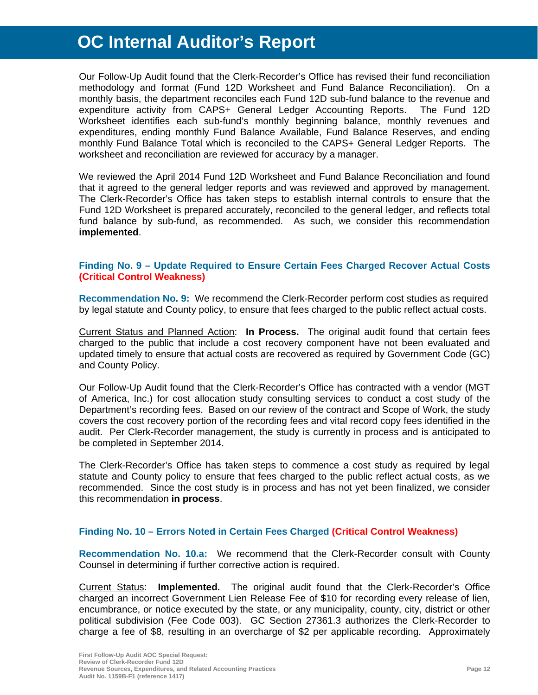Our Follow-Up Audit found that the Clerk-Recorder's Office has revised their fund reconciliation methodology and format (Fund 12D Worksheet and Fund Balance Reconciliation). On a monthly basis, the department reconciles each Fund 12D sub-fund balance to the revenue and expenditure activity from CAPS+ General Ledger Accounting Reports. The Fund 12D Worksheet identifies each sub-fund's monthly beginning balance, monthly revenues and expenditures, ending monthly Fund Balance Available, Fund Balance Reserves, and ending monthly Fund Balance Total which is reconciled to the CAPS+ General Ledger Reports. The worksheet and reconciliation are reviewed for accuracy by a manager.

We reviewed the April 2014 Fund 12D Worksheet and Fund Balance Reconciliation and found that it agreed to the general ledger reports and was reviewed and approved by management. The Clerk-Recorder's Office has taken steps to establish internal controls to ensure that the Fund 12D Worksheet is prepared accurately, reconciled to the general ledger, and reflects total fund balance by sub-fund, as recommended. As such, we consider this recommendation **implemented**.

#### **Finding No. 9 – Update Required to Ensure Certain Fees Charged Recover Actual Costs (Critical Control Weakness)**

**Recommendation No. 9:** We recommend the Clerk-Recorder perform cost studies as required by legal statute and County policy, to ensure that fees charged to the public reflect actual costs.

Current Status and Planned Action: **In Process.** The original audit found that certain fees charged to the public that include a cost recovery component have not been evaluated and updated timely to ensure that actual costs are recovered as required by Government Code (GC) and County Policy.

Our Follow-Up Audit found that the Clerk-Recorder's Office has contracted with a vendor (MGT of America, Inc.) for cost allocation study consulting services to conduct a cost study of the Department's recording fees. Based on our review of the contract and Scope of Work, the study covers the cost recovery portion of the recording fees and vital record copy fees identified in the audit. Per Clerk-Recorder management, the study is currently in process and is anticipated to be completed in September 2014.

The Clerk-Recorder's Office has taken steps to commence a cost study as required by legal statute and County policy to ensure that fees charged to the public reflect actual costs, as we recommended. Since the cost study is in process and has not yet been finalized, we consider this recommendation **in process**.

#### **Finding No. 10 – Errors Noted in Certain Fees Charged (Critical Control Weakness)**

**Recommendation No. 10.a:** We recommend that the Clerk-Recorder consult with County Counsel in determining if further corrective action is required.

Current Status: **Implemented.** The original audit found that the Clerk-Recorder's Office charged an incorrect Government Lien Release Fee of \$10 for recording every release of lien, encumbrance, or notice executed by the state, or any municipality, county, city, district or other political subdivision (Fee Code 003). GC Section 27361.3 authorizes the Clerk-Recorder to charge a fee of \$8, resulting in an overcharge of \$2 per applicable recording. Approximately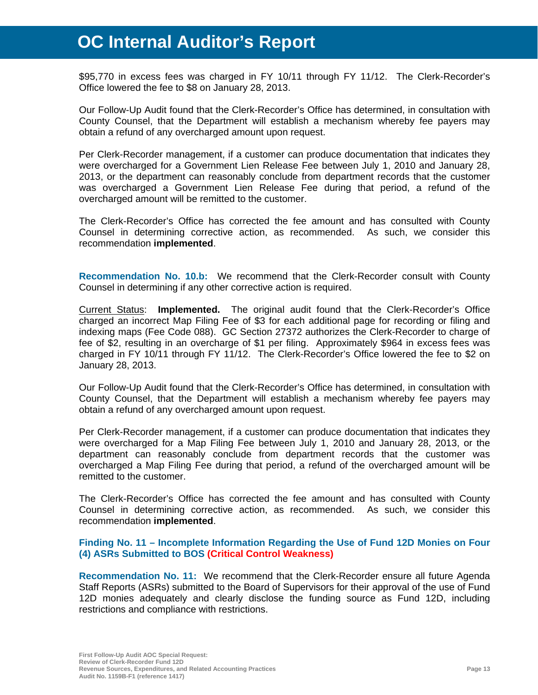\$95,770 in excess fees was charged in FY 10/11 through FY 11/12. The Clerk-Recorder's Office lowered the fee to \$8 on January 28, 2013.

Our Follow-Up Audit found that the Clerk-Recorder's Office has determined, in consultation with County Counsel, that the Department will establish a mechanism whereby fee payers may obtain a refund of any overcharged amount upon request.

Per Clerk-Recorder management, if a customer can produce documentation that indicates they were overcharged for a Government Lien Release Fee between July 1, 2010 and January 28, 2013, or the department can reasonably conclude from department records that the customer was overcharged a Government Lien Release Fee during that period, a refund of the overcharged amount will be remitted to the customer.

The Clerk-Recorder's Office has corrected the fee amount and has consulted with County Counsel in determining corrective action, as recommended. As such, we consider this recommendation **implemented**.

**Recommendation No. 10.b:** We recommend that the Clerk-Recorder consult with County Counsel in determining if any other corrective action is required.

Current Status: **Implemented.** The original audit found that the Clerk-Recorder's Office charged an incorrect Map Filing Fee of \$3 for each additional page for recording or filing and indexing maps (Fee Code 088). GC Section 27372 authorizes the Clerk-Recorder to charge of fee of \$2, resulting in an overcharge of \$1 per filing. Approximately \$964 in excess fees was charged in FY 10/11 through FY 11/12. The Clerk-Recorder's Office lowered the fee to \$2 on January 28, 2013.

Our Follow-Up Audit found that the Clerk-Recorder's Office has determined, in consultation with County Counsel, that the Department will establish a mechanism whereby fee payers may obtain a refund of any overcharged amount upon request.

Per Clerk-Recorder management, if a customer can produce documentation that indicates they were overcharged for a Map Filing Fee between July 1, 2010 and January 28, 2013, or the department can reasonably conclude from department records that the customer was overcharged a Map Filing Fee during that period, a refund of the overcharged amount will be remitted to the customer.

The Clerk-Recorder's Office has corrected the fee amount and has consulted with County Counsel in determining corrective action, as recommended. As such, we consider this recommendation **implemented**.

#### **Finding No. 11 – Incomplete Information Regarding the Use of Fund 12D Monies on Four (4) ASRs Submitted to BOS (Critical Control Weakness)**

**Recommendation No. 11:** We recommend that the Clerk-Recorder ensure all future Agenda Staff Reports (ASRs) submitted to the Board of Supervisors for their approval of the use of Fund 12D monies adequately and clearly disclose the funding source as Fund 12D, including restrictions and compliance with restrictions.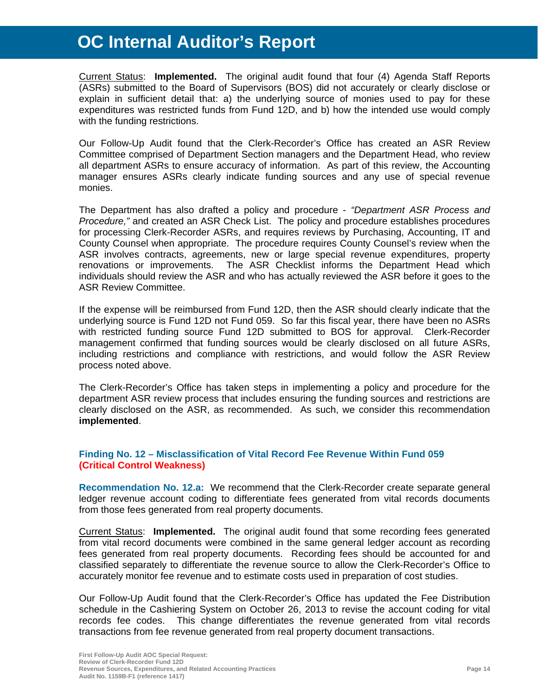Current Status: **Implemented.** The original audit found that four (4) Agenda Staff Reports (ASRs) submitted to the Board of Supervisors (BOS) did not accurately or clearly disclose or explain in sufficient detail that: a) the underlying source of monies used to pay for these expenditures was restricted funds from Fund 12D, and b) how the intended use would comply with the funding restrictions.

Our Follow-Up Audit found that the Clerk-Recorder's Office has created an ASR Review Committee comprised of Department Section managers and the Department Head, who review all department ASRs to ensure accuracy of information. As part of this review, the Accounting manager ensures ASRs clearly indicate funding sources and any use of special revenue monies.

The Department has also drafted a policy and procedure - *"Department ASR Process and Procedure,"* and created an ASR Check List. The policy and procedure establishes procedures for processing Clerk-Recorder ASRs, and requires reviews by Purchasing, Accounting, IT and County Counsel when appropriate. The procedure requires County Counsel's review when the ASR involves contracts, agreements, new or large special revenue expenditures, property renovations or improvements. The ASR Checklist informs the Department Head which individuals should review the ASR and who has actually reviewed the ASR before it goes to the ASR Review Committee.

If the expense will be reimbursed from Fund 12D, then the ASR should clearly indicate that the underlying source is Fund 12D not Fund 059. So far this fiscal year, there have been no ASRs with restricted funding source Fund 12D submitted to BOS for approval. Clerk-Recorder management confirmed that funding sources would be clearly disclosed on all future ASRs, including restrictions and compliance with restrictions, and would follow the ASR Review process noted above.

The Clerk-Recorder's Office has taken steps in implementing a policy and procedure for the department ASR review process that includes ensuring the funding sources and restrictions are clearly disclosed on the ASR, as recommended. As such, we consider this recommendation **implemented**.

### **Finding No. 12 – Misclassification of Vital Record Fee Revenue Within Fund 059 (Critical Control Weakness)**

**Recommendation No. 12.a:** We recommend that the Clerk-Recorder create separate general ledger revenue account coding to differentiate fees generated from vital records documents from those fees generated from real property documents.

Current Status: **Implemented.** The original audit found that some recording fees generated from vital record documents were combined in the same general ledger account as recording fees generated from real property documents. Recording fees should be accounted for and classified separately to differentiate the revenue source to allow the Clerk-Recorder's Office to accurately monitor fee revenue and to estimate costs used in preparation of cost studies.

Our Follow-Up Audit found that the Clerk-Recorder's Office has updated the Fee Distribution schedule in the Cashiering System on October 26, 2013 to revise the account coding for vital records fee codes. This change differentiates the revenue generated from vital records transactions from fee revenue generated from real property document transactions.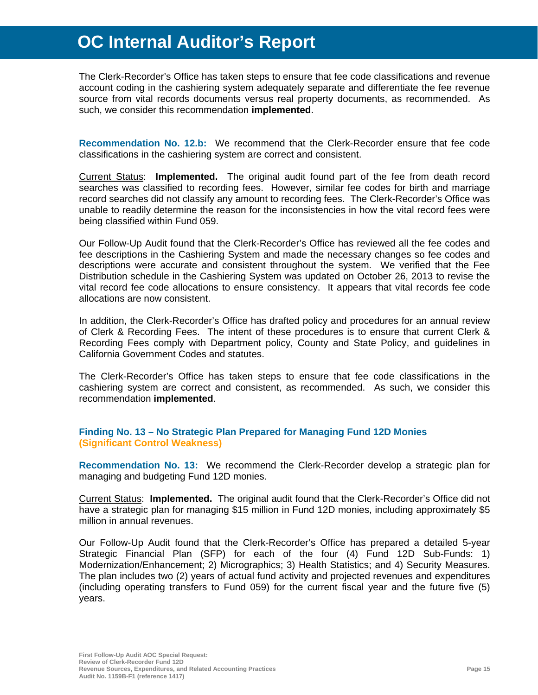The Clerk-Recorder's Office has taken steps to ensure that fee code classifications and revenue account coding in the cashiering system adequately separate and differentiate the fee revenue source from vital records documents versus real property documents, as recommended. As such, we consider this recommendation **implemented**.

**Recommendation No. 12.b:** We recommend that the Clerk-Recorder ensure that fee code classifications in the cashiering system are correct and consistent.

Current Status: **Implemented.** The original audit found part of the fee from death record searches was classified to recording fees. However, similar fee codes for birth and marriage record searches did not classify any amount to recording fees. The Clerk-Recorder's Office was unable to readily determine the reason for the inconsistencies in how the vital record fees were being classified within Fund 059.

Our Follow-Up Audit found that the Clerk-Recorder's Office has reviewed all the fee codes and fee descriptions in the Cashiering System and made the necessary changes so fee codes and descriptions were accurate and consistent throughout the system. We verified that the Fee Distribution schedule in the Cashiering System was updated on October 26, 2013 to revise the vital record fee code allocations to ensure consistency. It appears that vital records fee code allocations are now consistent.

In addition, the Clerk-Recorder's Office has drafted policy and procedures for an annual review of Clerk & Recording Fees. The intent of these procedures is to ensure that current Clerk & Recording Fees comply with Department policy, County and State Policy, and guidelines in California Government Codes and statutes.

The Clerk-Recorder's Office has taken steps to ensure that fee code classifications in the cashiering system are correct and consistent, as recommended. As such, we consider this recommendation **implemented**.

#### **Finding No. 13 – No Strategic Plan Prepared for Managing Fund 12D Monies (Significant Control Weakness)**

**Recommendation No. 13:** We recommend the Clerk-Recorder develop a strategic plan for managing and budgeting Fund 12D monies.

Current Status: **Implemented.** The original audit found that the Clerk-Recorder's Office did not have a strategic plan for managing \$15 million in Fund 12D monies, including approximately \$5 million in annual revenues.

Our Follow-Up Audit found that the Clerk-Recorder's Office has prepared a detailed 5-year Strategic Financial Plan (SFP) for each of the four (4) Fund 12D Sub-Funds: 1) Modernization/Enhancement; 2) Micrographics; 3) Health Statistics; and 4) Security Measures. The plan includes two (2) years of actual fund activity and projected revenues and expenditures (including operating transfers to Fund 059) for the current fiscal year and the future five (5) years.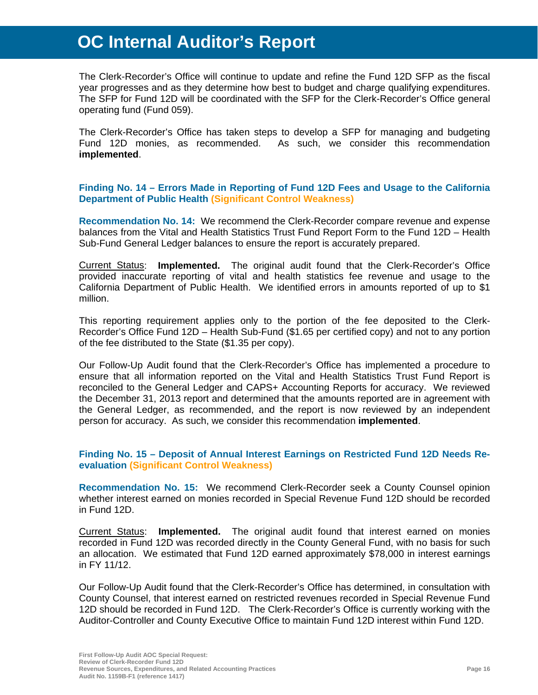The Clerk-Recorder's Office will continue to update and refine the Fund 12D SFP as the fiscal year progresses and as they determine how best to budget and charge qualifying expenditures. The SFP for Fund 12D will be coordinated with the SFP for the Clerk-Recorder's Office general operating fund (Fund 059).

The Clerk-Recorder's Office has taken steps to develop a SFP for managing and budgeting Fund 12D monies, as recommended. As such, we consider this recommendation **implemented**.

#### **Finding No. 14 – Errors Made in Reporting of Fund 12D Fees and Usage to the California Department of Public Health (Significant Control Weakness)**

**Recommendation No. 14:** We recommend the Clerk-Recorder compare revenue and expense balances from the Vital and Health Statistics Trust Fund Report Form to the Fund 12D – Health Sub-Fund General Ledger balances to ensure the report is accurately prepared.

Current Status: **Implemented.** The original audit found that the Clerk-Recorder's Office provided inaccurate reporting of vital and health statistics fee revenue and usage to the California Department of Public Health. We identified errors in amounts reported of up to \$1 million.

This reporting requirement applies only to the portion of the fee deposited to the Clerk-Recorder's Office Fund 12D – Health Sub-Fund (\$1.65 per certified copy) and not to any portion of the fee distributed to the State (\$1.35 per copy).

Our Follow-Up Audit found that the Clerk-Recorder's Office has implemented a procedure to ensure that all information reported on the Vital and Health Statistics Trust Fund Report is reconciled to the General Ledger and CAPS+ Accounting Reports for accuracy. We reviewed the December 31, 2013 report and determined that the amounts reported are in agreement with the General Ledger, as recommended, and the report is now reviewed by an independent person for accuracy. As such, we consider this recommendation **implemented**.

#### **Finding No. 15 – Deposit of Annual Interest Earnings on Restricted Fund 12D Needs Reevaluation (Significant Control Weakness)**

**Recommendation No. 15:** We recommend Clerk-Recorder seek a County Counsel opinion whether interest earned on monies recorded in Special Revenue Fund 12D should be recorded in Fund 12D.

Current Status: **Implemented.** The original audit found that interest earned on monies recorded in Fund 12D was recorded directly in the County General Fund, with no basis for such an allocation. We estimated that Fund 12D earned approximately \$78,000 in interest earnings in FY 11/12.

Our Follow-Up Audit found that the Clerk-Recorder's Office has determined, in consultation with County Counsel, that interest earned on restricted revenues recorded in Special Revenue Fund 12D should be recorded in Fund 12D. The Clerk-Recorder's Office is currently working with the Auditor-Controller and County Executive Office to maintain Fund 12D interest within Fund 12D.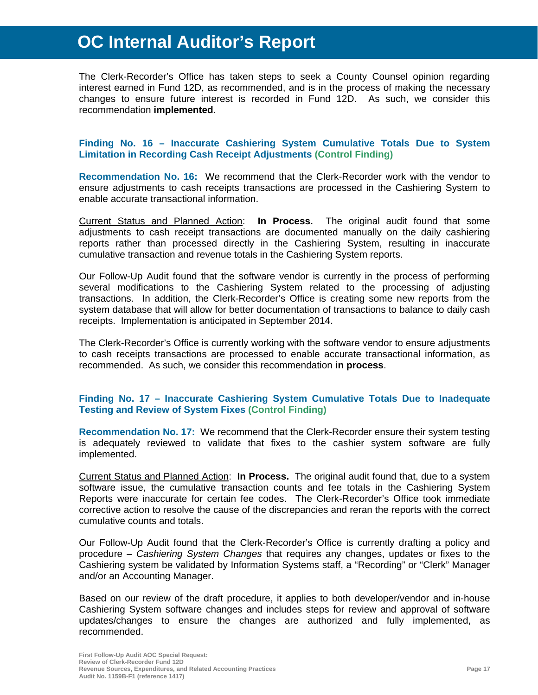The Clerk-Recorder's Office has taken steps to seek a County Counsel opinion regarding interest earned in Fund 12D, as recommended, and is in the process of making the necessary changes to ensure future interest is recorded in Fund 12D. As such, we consider this recommendation **implemented**.

#### **Finding No. 16 – Inaccurate Cashiering System Cumulative Totals Due to System Limitation in Recording Cash Receipt Adjustments (Control Finding)**

**Recommendation No. 16:** We recommend that the Clerk-Recorder work with the vendor to ensure adjustments to cash receipts transactions are processed in the Cashiering System to enable accurate transactional information.

Current Status and Planned Action: **In Process.** The original audit found that some adjustments to cash receipt transactions are documented manually on the daily cashiering reports rather than processed directly in the Cashiering System, resulting in inaccurate cumulative transaction and revenue totals in the Cashiering System reports.

Our Follow-Up Audit found that the software vendor is currently in the process of performing several modifications to the Cashiering System related to the processing of adjusting transactions. In addition, the Clerk-Recorder's Office is creating some new reports from the system database that will allow for better documentation of transactions to balance to daily cash receipts. Implementation is anticipated in September 2014.

The Clerk-Recorder's Office is currently working with the software vendor to ensure adjustments to cash receipts transactions are processed to enable accurate transactional information, as recommended. As such, we consider this recommendation **in process**.

### **Finding No. 17 – Inaccurate Cashiering System Cumulative Totals Due to Inadequate Testing and Review of System Fixes (Control Finding)**

**Recommendation No. 17:** We recommend that the Clerk-Recorder ensure their system testing is adequately reviewed to validate that fixes to the cashier system software are fully implemented.

Current Status and Planned Action: **In Process.** The original audit found that, due to a system software issue, the cumulative transaction counts and fee totals in the Cashiering System Reports were inaccurate for certain fee codes. The Clerk-Recorder's Office took immediate corrective action to resolve the cause of the discrepancies and reran the reports with the correct cumulative counts and totals.

Our Follow-Up Audit found that the Clerk-Recorder's Office is currently drafting a policy and procedure – *Cashiering System Changes* that requires any changes, updates or fixes to the Cashiering system be validated by Information Systems staff, a "Recording" or "Clerk" Manager and/or an Accounting Manager.

Based on our review of the draft procedure, it applies to both developer/vendor and in-house Cashiering System software changes and includes steps for review and approval of software updates/changes to ensure the changes are authorized and fully implemented, as recommended.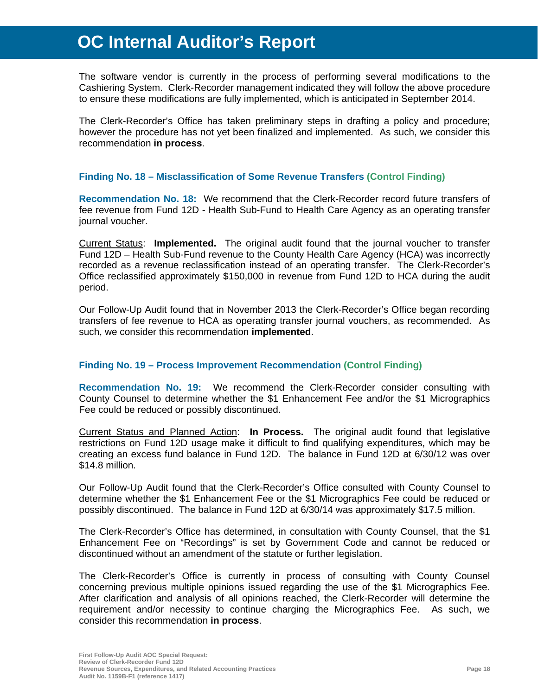The software vendor is currently in the process of performing several modifications to the Cashiering System. Clerk-Recorder management indicated they will follow the above procedure to ensure these modifications are fully implemented, which is anticipated in September 2014.

The Clerk-Recorder's Office has taken preliminary steps in drafting a policy and procedure; however the procedure has not yet been finalized and implemented. As such, we consider this recommendation **in process**.

#### **Finding No. 18 – Misclassification of Some Revenue Transfers (Control Finding)**

**Recommendation No. 18:** We recommend that the Clerk-Recorder record future transfers of fee revenue from Fund 12D - Health Sub-Fund to Health Care Agency as an operating transfer journal voucher.

Current Status: **Implemented.** The original audit found that the journal voucher to transfer Fund 12D – Health Sub-Fund revenue to the County Health Care Agency (HCA) was incorrectly recorded as a revenue reclassification instead of an operating transfer. The Clerk-Recorder's Office reclassified approximately \$150,000 in revenue from Fund 12D to HCA during the audit period.

Our Follow-Up Audit found that in November 2013 the Clerk-Recorder's Office began recording transfers of fee revenue to HCA as operating transfer journal vouchers, as recommended. As such, we consider this recommendation **implemented**.

### **Finding No. 19 – Process Improvement Recommendation (Control Finding)**

**Recommendation No. 19:** We recommend the Clerk-Recorder consider consulting with County Counsel to determine whether the \$1 Enhancement Fee and/or the \$1 Micrographics Fee could be reduced or possibly discontinued.

Current Status and Planned Action: **In Process.** The original audit found that legislative restrictions on Fund 12D usage make it difficult to find qualifying expenditures, which may be creating an excess fund balance in Fund 12D. The balance in Fund 12D at 6/30/12 was over \$14.8 million.

Our Follow-Up Audit found that the Clerk-Recorder's Office consulted with County Counsel to determine whether the \$1 Enhancement Fee or the \$1 Micrographics Fee could be reduced or possibly discontinued. The balance in Fund 12D at 6/30/14 was approximately \$17.5 million.

The Clerk-Recorder's Office has determined, in consultation with County Counsel, that the \$1 Enhancement Fee on "Recordings" is set by Government Code and cannot be reduced or discontinued without an amendment of the statute or further legislation.

The Clerk-Recorder's Office is currently in process of consulting with County Counsel concerning previous multiple opinions issued regarding the use of the \$1 Micrographics Fee. After clarification and analysis of all opinions reached, the Clerk-Recorder will determine the requirement and/or necessity to continue charging the Micrographics Fee. As such, we consider this recommendation **in process**.